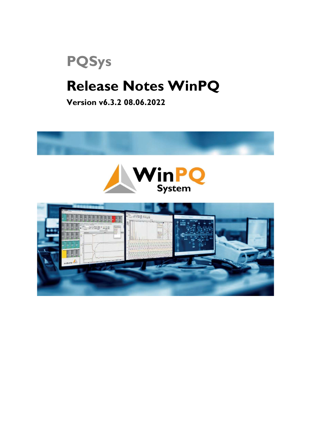# PQSys

### Release Notes WinPQ

Version v6.3.2 08.06.2022



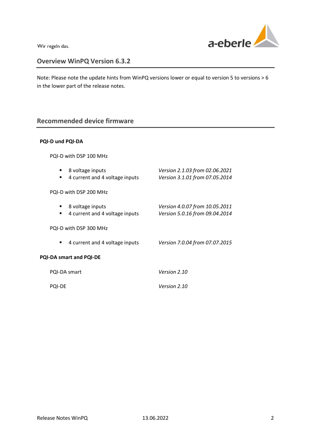

### Overview WinPQ Version 6.3.2

Note: Please note the update hints from WinPQ versions lower or equal to version 5 to versions > 6 in the lower part of the release notes.

### Recommended device firmware

#### PQI-D und PQI-DA

| 8 voltage inputs<br>٠<br>4 current and 4 voltage inputs<br>٠ | Version 2.1.03 from 02.06.2021<br>Version 3.1.01 from 07.05.2014 |  |  |  |
|--------------------------------------------------------------|------------------------------------------------------------------|--|--|--|
| PQI-D with DSP 200 MHz                                       |                                                                  |  |  |  |
| 8 voltage inputs<br>4 current and 4 voltage inputs<br>٠      | Version 4.0.07 from 10.05.2011<br>Version 5.0.16 from 09.04.2014 |  |  |  |
| PQI-D with DSP 300 MHz                                       |                                                                  |  |  |  |
| 4 current and 4 voltage inputs<br>٠                          | Version 7.0.04 from 07.07.2015                                   |  |  |  |
| PQI-DA smart and PQI-DE                                      |                                                                  |  |  |  |
| PQI-DA smart                                                 | Version 2.10                                                     |  |  |  |
| <b>POI-DE</b>                                                | Version 2.10                                                     |  |  |  |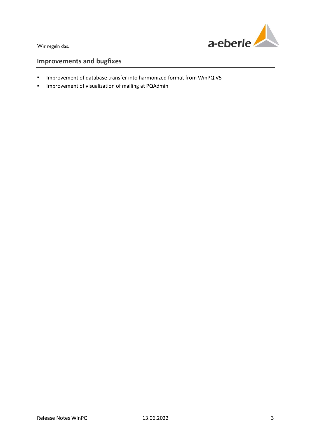

- Improvement of database transfer into harmonized format from WinPQ V5
- **Improvement of visualization of mailing at PQAdmin**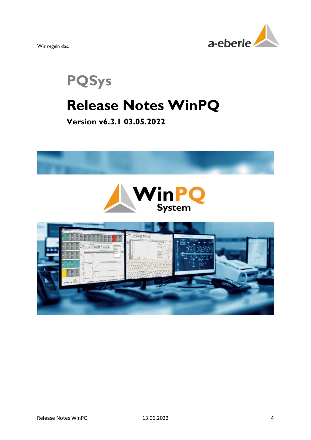

PQSys

### Release Notes WinPQ

### Version v6.3.1 03.05.2022

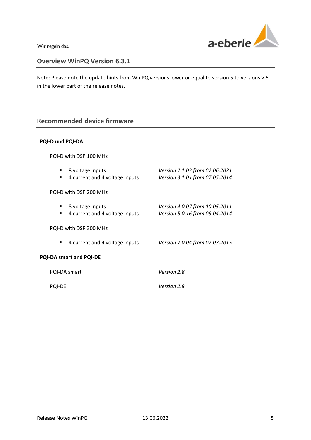

### Overview WinPQ Version 6.3.1

Note: Please note the update hints from WinPQ versions lower or equal to version 5 to versions > 6 in the lower part of the release notes.

### Recommended device firmware

### PQI-D und PQI-DA

| ٠                              | 8 voltage inputs<br>4 current and 4 voltage inputs | Version 2.1.03 from 02.06.2021<br>Version 3.1.01 from 07.05.2014 |  |  |
|--------------------------------|----------------------------------------------------|------------------------------------------------------------------|--|--|
| PQI-D with DSP 200 MHz         |                                                    |                                                                  |  |  |
| ٠                              | 8 voltage inputs<br>4 current and 4 voltage inputs | Version 4.0.07 from 10.05.2011<br>Version 5.0.16 from 09.04.2014 |  |  |
| PQI-D with DSP 300 MHz         |                                                    |                                                                  |  |  |
| ٠                              | 4 current and 4 voltage inputs                     | Version 7.0.04 from 07.07.2015                                   |  |  |
| <b>PQI-DA smart and PQI-DE</b> |                                                    |                                                                  |  |  |
|                                | PQI-DA smart                                       | Version 2.8                                                      |  |  |
| <b>POI-DE</b>                  |                                                    | Version 2.8                                                      |  |  |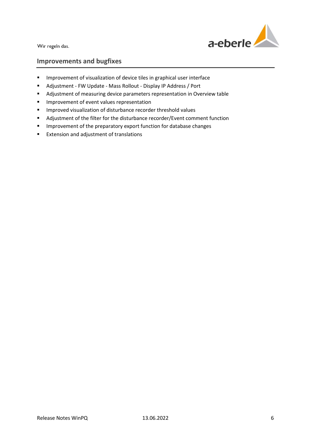

- **IMPROVEMENT OF VISUALIZATION OF device tiles in graphical user interface**
- Adjustment FW Update Mass Rollout Display IP Address / Port
- Adjustment of measuring device parameters representation in Overview table
- **Improvement of event values representation**
- **IMPROVED VISUALIZATION OF disturbance recorder threshold values**
- Adjustment of the filter for the disturbance recorder/Event comment function
- **IMPROM** Improvement of the preparatory export function for database changes
- **Extension and adjustment of translations**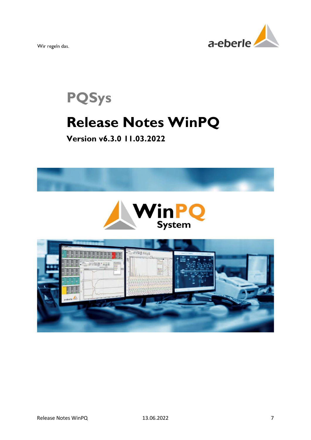

# PQSys Release Notes WinPQ

Version v6.3.0 11.03.2022

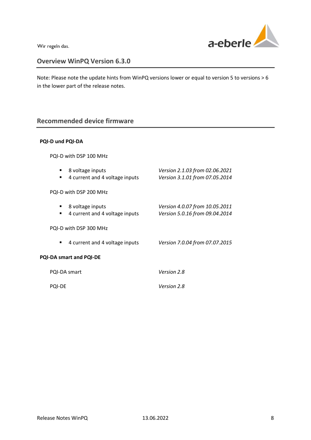

### Overview WinPQ Version 6.3.0

Note: Please note the update hints from WinPQ versions lower or equal to version 5 to versions > 6 in the lower part of the release notes.

### Recommended device firmware

### PQI-D und PQI-DA

| 8 voltage inputs<br>٠<br>4 current and 4 voltage inputs<br>٠ | Version 2.1.03 from 02.06.2021<br>Version 3.1.01 from 07.05.2014 |  |  |  |
|--------------------------------------------------------------|------------------------------------------------------------------|--|--|--|
| PQI-D with DSP 200 MHz                                       |                                                                  |  |  |  |
| 8 voltage inputs<br>4 current and 4 voltage inputs<br>٠      | Version 4.0.07 from 10.05.2011<br>Version 5.0.16 from 09.04.2014 |  |  |  |
| PQI-D with DSP 300 MHz                                       |                                                                  |  |  |  |
| 4 current and 4 voltage inputs<br>٠                          | Version 7.0.04 from 07.07.2015                                   |  |  |  |
| PQI-DA smart and PQI-DE                                      |                                                                  |  |  |  |
| PQI-DA smart                                                 | Version 2.8                                                      |  |  |  |
| <b>POI-DE</b>                                                | Version 2.8                                                      |  |  |  |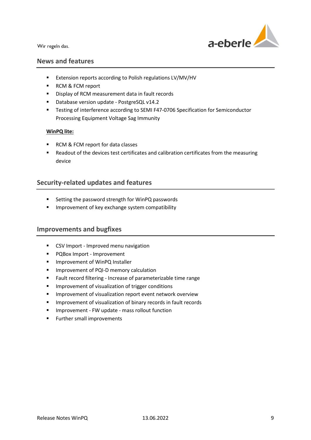

### News and features

- Extension reports according to Polish regulations LV/MV/HV
- RCM & FCM report
- **Display of RCM measurement data in fault records**
- Database version update PostgreSQL v14.2
- **Testing of interference according to SEMI F47-0706 Specification for Semiconductor** Processing Equipment Voltage Sag Immunity

#### WinPQ lite:

- RCM & FCM report for data classes
- **Readout of the devices test certificates and calibration certificates from the measuring** device

### Security-related updates and features

- **EXECT:** Setting the password strength for WinPQ passwords
- **IMPROVEMENT OF KEY EXCHANGE SYSTEM COMPATIBILITY**

- **CSV Import Improved menu navigation**
- **PQBox Import Improvement**
- **IMPO Improvement of WinPQ Installer**
- **Improvement of PQI-D memory calculation**
- Fault record filtering Increase of parameterizable time range
- **IMPROVEMENT OF VISUALIZATION OF TRIGGER** CONDITIONS
- **IMPROVEMENT OF VISUALIZATION REPORT EVENT MOVER THE IMPROVEMENT OF STATION**
- **IMPROVEMENT OF VISUALIZATION OF BINARY RECORDS IN FAULT RECORDS**
- **Improvement FW update mass rollout function**
- **Further small improvements**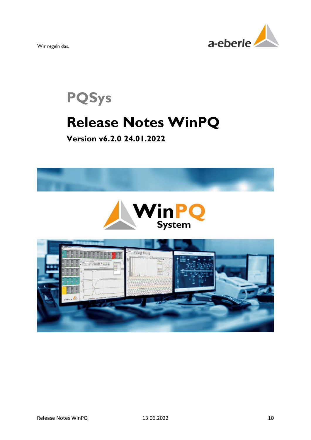

# PQSys Release Notes WinPQ

Version v6.2.0 24.01.2022

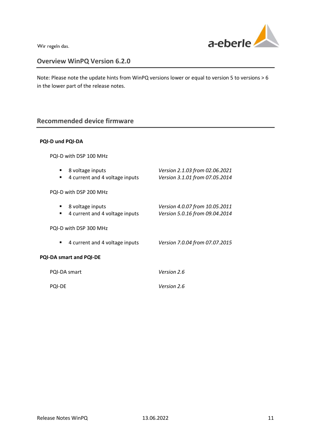

### Overview WinPQ Version 6.2.0

Note: Please note the update hints from WinPQ versions lower or equal to version 5 to versions > 6 in the lower part of the release notes.

### Recommended device firmware

### PQI-D und PQI-DA

| 8 voltage inputs<br>4 current and 4 voltage inputs<br>٠ | Version 2.1.03 from 02.06.2021<br>Version 3.1.01 from 07.05.2014 |  |  |  |
|---------------------------------------------------------|------------------------------------------------------------------|--|--|--|
| PQI-D with DSP 200 MHz                                  |                                                                  |  |  |  |
| 8 voltage inputs<br>4 current and 4 voltage inputs<br>٠ | Version 4.0.07 from 10.05.2011<br>Version 5.0.16 from 09.04.2014 |  |  |  |
| PQI-D with DSP 300 MHz                                  |                                                                  |  |  |  |
| 4 current and 4 voltage inputs<br>٠                     | Version 7.0.04 from 07.07.2015                                   |  |  |  |
| <b>PQI-DA smart and PQI-DE</b>                          |                                                                  |  |  |  |
| PQI-DA smart                                            | Version 2.6                                                      |  |  |  |
| <b>POI-DE</b>                                           | Version 2.6                                                      |  |  |  |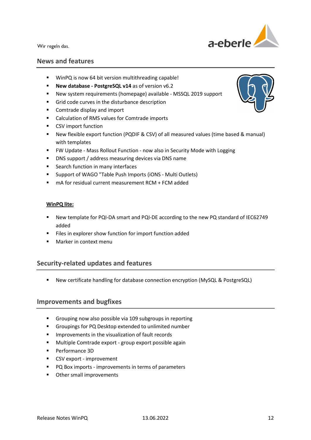

### News and features

- WinPQ is now 64 bit version multithreading capable!
- **New database PostgreSQL v14 as of version v6.2**
- New system requirements (homepage) available MSSQL 2019 support
- Grid code curves in the disturbance description
- **EXECOMEDIA** Comtrade display and import
- Calculation of RMS values for Comtrade imports
- **CSV** import function
- New flexible export function (PQDIF & CSV) of all measured values (time based & manual) with templates
- **FW Update Mass Rollout Function now also in Security Mode with Logging**
- DNS support / address measuring devices via DNS name
- Search function in many interfaces
- Support of WAGO "Table Push Imports (iONS Multi Outlets)
- mA for residual current measurement RCM + FCM added

#### WinPQ lite:

- New template for PQI-DA smart and PQI-DE according to the new PQ standard of IEC62749 added
- Files in explorer show function for import function added
- **Marker in context menules**

### Security-related updates and features

New certificate handling for database connection encryption (MySQL & PostgreSQL)

- **Grouping now also possible via 109 subgroups in reporting**
- Groupings for PQ Desktop extended to unlimited number
- **IMPROVEMENTS IN the visualization of fault records**
- Multiple Comtrade export group export possible again
- Performance 3D
- **CSV** export improvement
- **PQ Box imports improvements in terms of parameters**
- **•** Other small improvements

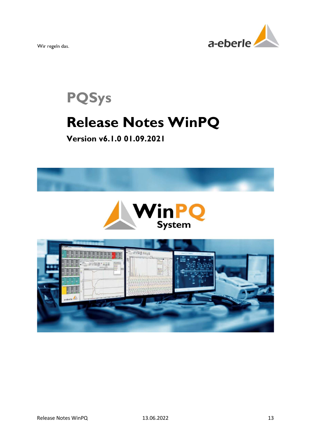

# PQSys Release Notes WinPQ

### Version v6.1.0 01.09.2021

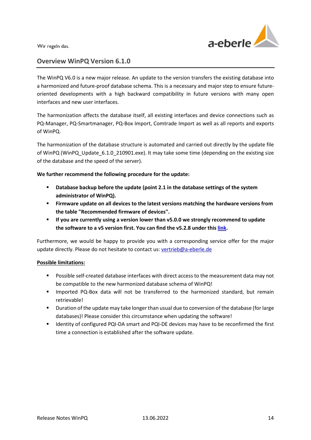

### Overview WinPQ Version 6.1.0

The WinPQ V6.0 is a new major release. An update to the version transfers the existing database into a harmonized and future-proof database schema. This is a necessary and major step to ensure futureoriented developments with a high backward compatibility in future versions with many open interfaces and new user interfaces.

The harmonization affects the database itself, all existing interfaces and device connections such as PQ-Manager, PQ-Smartmanager, PQ-Box Import, Comtrade Import as well as all reports and exports of WinPQ.

The harmonization of the database structure is automated and carried out directly by the update file of WinPQ (WinPQ\_Update\_6.1.0\_210901.exe). It may take some time (depending on the existing size of the database and the speed of the server).

We further recommend the following procedure for the update:

- Database backup before the update (point 2.1 in the database settings of the system administrator of WinPQ).
- Firmware update on all devices to the latest versions matching the hardware versions from the table "Recommended firmware of devices".
- **If you are currently using a version lower than v5.0.0 we strongly recommend to update** the software to a v5 version first. You can find the v5.2.8 under this link.

Furthermore, we would be happy to provide you with a corresponding service offer for the major update directly. Please do not hesitate to contact us: vertrieb@a-eberle.de

### Possible limitations:

- Possible self-created database interfaces with direct access to the measurement data may not be compatible to the new harmonized database schema of WinPQ!
- Imported PQ-Box data will not be transferred to the harmonized standard, but remain retrievable!
- Duration of the update may take longer than usual due to conversion of the database (for large databases)! Please consider this circumstance when updating the software!
- **IDENTIFY 11 Identity of configured PQI-DA smart and PQI-DE devices may have to be reconfirmed the first** time a connection is established after the software update.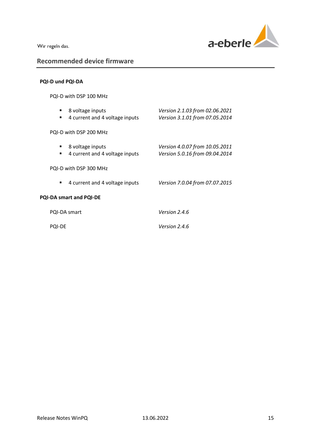

### Recommended device firmware

### PQI-D und PQI-DA

| ٠<br>$\blacksquare$            | 8 voltage inputs<br>4 current and 4 voltage inputs | Version 2.1.03 from 02.06.2021<br>Version 3.1.01 from 07.05.2014 |  |  |
|--------------------------------|----------------------------------------------------|------------------------------------------------------------------|--|--|
| PQI-D with DSP 200 MHz         |                                                    |                                                                  |  |  |
| ٠<br>٠                         | 8 voltage inputs<br>4 current and 4 voltage inputs | Version 4.0.07 from 10.05.2011<br>Version 5.0.16 from 09.04.2014 |  |  |
| PQI-D with DSP 300 MHz         |                                                    |                                                                  |  |  |
| ٠                              | 4 current and 4 voltage inputs                     | Version 7.0.04 from 07.07.2015                                   |  |  |
| <b>PQI-DA smart and PQI-DE</b> |                                                    |                                                                  |  |  |
|                                | PQI-DA smart                                       | Version 2.4.6                                                    |  |  |
| <b>POI-DE</b>                  |                                                    | Version 2.4.6                                                    |  |  |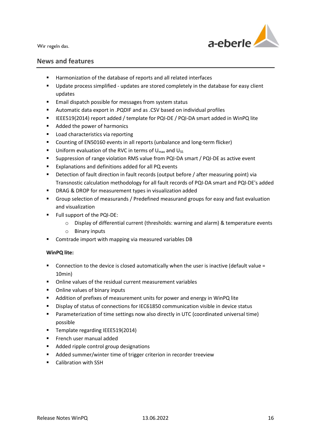

### News and features

- Harmonization of the database of reports and all related interfaces
- Update process simplified updates are stored completely in the database for easy client updates
- **Email dispatch possible for messages from system status**
- Automatic data export in .PQDIF and as .CSV based on individual profiles
- IEEE519(2014) report added / template for PQI-DE / PQI-DA smart added in WinPQ lite
- Added the power of harmonics
- **Load characteristics via reporting**
- Counting of EN50160 events in all reports (unbalance and long-term flicker)
- **Uniform evaluation of the RVC in terms of U<sub>max</sub> and U<sub>SS</sub>**
- Suppression of range violation RMS value from PQI-DA smart / PQI-DE as active event
- **Explanations and definitions added for all PQ events**
- Detection of fault direction in fault records (output before / after measuring point) via Transnostic calculation methodology for all fault records of PQI-DA smart and PQI-DE's added
- **DRAG & DROP for measurement types in visualization added**
- Group selection of measurands / Predefined measurand groups for easy and fast evaluation and visualization
- **Full support of the PQI-DE:** 
	- o Display of differential current (thresholds: warning and alarm) & temperature events
	- o Binary inputs
- **Comtrade import with mapping via measured variables DB**

### WinPQ lite:

- Connection to the device is closed automatically when the user is inactive (default value = 10min)
- Online values of the residual current measurement variables
- Online values of binary inputs
- **Addition of prefixes of measurement units for power and energy in WinPQ lite**
- Display of status of connections for IEC61850 communication visible in device status
- Parameterization of time settings now also directly in UTC (coordinated universal time) possible
- **Template regarding IEEE519(2014)**
- **French user manual added**
- Added ripple control group designations
- **Added summer/winter time of trigger criterion in recorder treeview**
- **Calibration with SSH**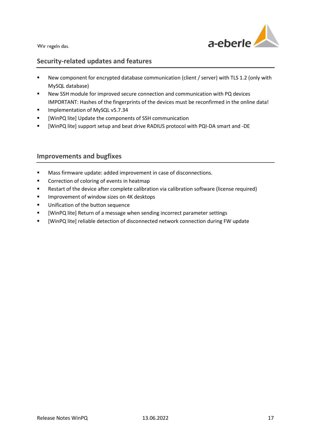

### Security-related updates and features

- New component for encrypted database communication (client / server) with TLS 1.2 (only with MySQL database)
- New SSH module for improved secure connection and communication with PQ devices IMPORTANT: Hashes of the fingerprints of the devices must be reconfirmed in the online data!
- **Implementation of MySQL v5.7.34**
- **•** [WinPQ lite] Update the components of SSH communication
- [WinPQ lite] support setup and beat drive RADIUS protocol with PQI-DA smart and -DE

- Mass firmware update: added improvement in case of disconnections.
- **Correction of coloring of events in heatmap**
- Restart of the device after complete calibration via calibration software (license required)
- **IMPROVEMENT OF WINDOW SIZES ON 4K desktops**
- **Unification of the button sequence**
- [WinPQ lite] Return of a message when sending incorrect parameter settings
- [WinPQ lite] reliable detection of disconnected network connection during FW update